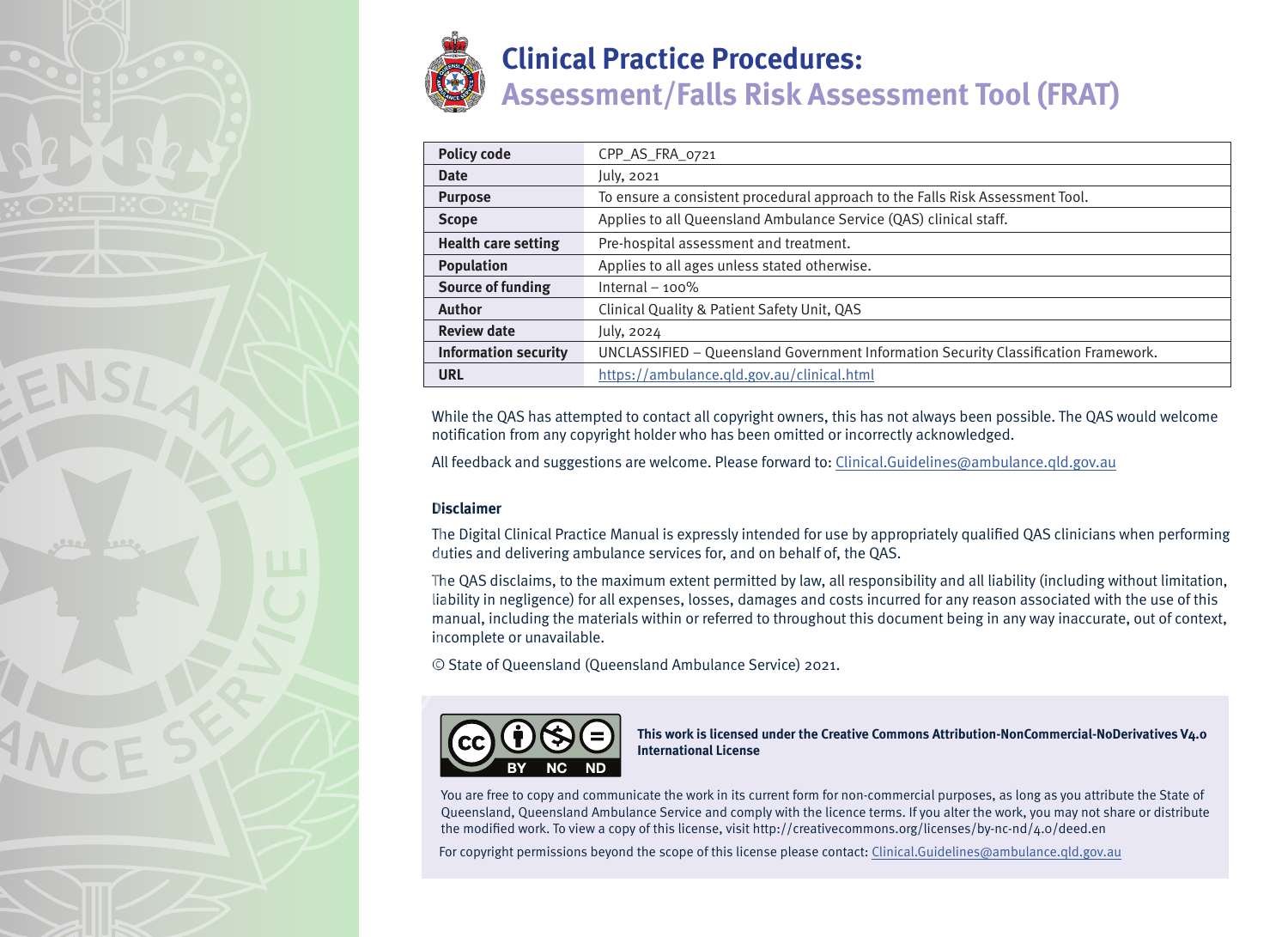

| <b>Policy code</b>          | CPP_AS_FRA_0721                                                                     |  |  |  |
|-----------------------------|-------------------------------------------------------------------------------------|--|--|--|
|                             |                                                                                     |  |  |  |
| <b>Date</b>                 | July, 2021                                                                          |  |  |  |
| <b>Purpose</b>              | To ensure a consistent procedural approach to the Falls Risk Assessment Tool.       |  |  |  |
| <b>Scope</b>                | Applies to all Queensland Ambulance Service (QAS) clinical staff.                   |  |  |  |
| <b>Health care setting</b>  | Pre-hospital assessment and treatment.                                              |  |  |  |
| <b>Population</b>           | Applies to all ages unless stated otherwise.                                        |  |  |  |
| <b>Source of funding</b>    | Internal $-100\%$                                                                   |  |  |  |
| <b>Author</b>               | Clinical Quality & Patient Safety Unit, QAS                                         |  |  |  |
| <b>Review date</b>          | July, 2024                                                                          |  |  |  |
| <b>Information security</b> | UNCLASSIFIED - Queensland Government Information Security Classification Framework. |  |  |  |
| URL                         | https://ambulance.qld.gov.au/clinical.html                                          |  |  |  |

While the QAS has attempted to contact all copyright owners, this has not always been possible. The QAS would welcome notification from any copyright holder who has been omitted or incorrectly acknowledged.

All feedback and suggestions are welcome. Please forward to: Clinical.Guidelines@ambulance.qld.gov.au

## **Disclaimer**

The Digital Clinical Practice Manual is expressly intended for use by appropriately qualified QAS clinicians when performing duties and delivering ambulance services for, and on behalf of, the QAS.

The QAS disclaims, to the maximum extent permitted by law, all responsibility and all liability (including without limitation, liability in negligence) for all expenses, losses, damages and costs incurred for any reason associated with the use of this manual, including the materials within or referred to throughout this document being in any way inaccurate, out of context, incomplete or unavailable.

© State of Queensland (Queensland Ambulance Service) 2021.



**This work is licensed under the Creative Commons Attribution-NonCommercial-NoDerivatives V4.0 International License**

You are free to copy and communicate the work in its current form for non-commercial purposes, as long as you attribute the State of Queensland, Queensland Ambulance Service and comply with the licence terms. If you alter the work, you may not share or distribute the modified work. To view a copy of this license, visit http://creativecommons.org/licenses/by-nc-nd/4.0/deed.en

For copyright permissions beyond the scope of this license please contact: Clinical.Guidelines@ambulance.qld.gov.au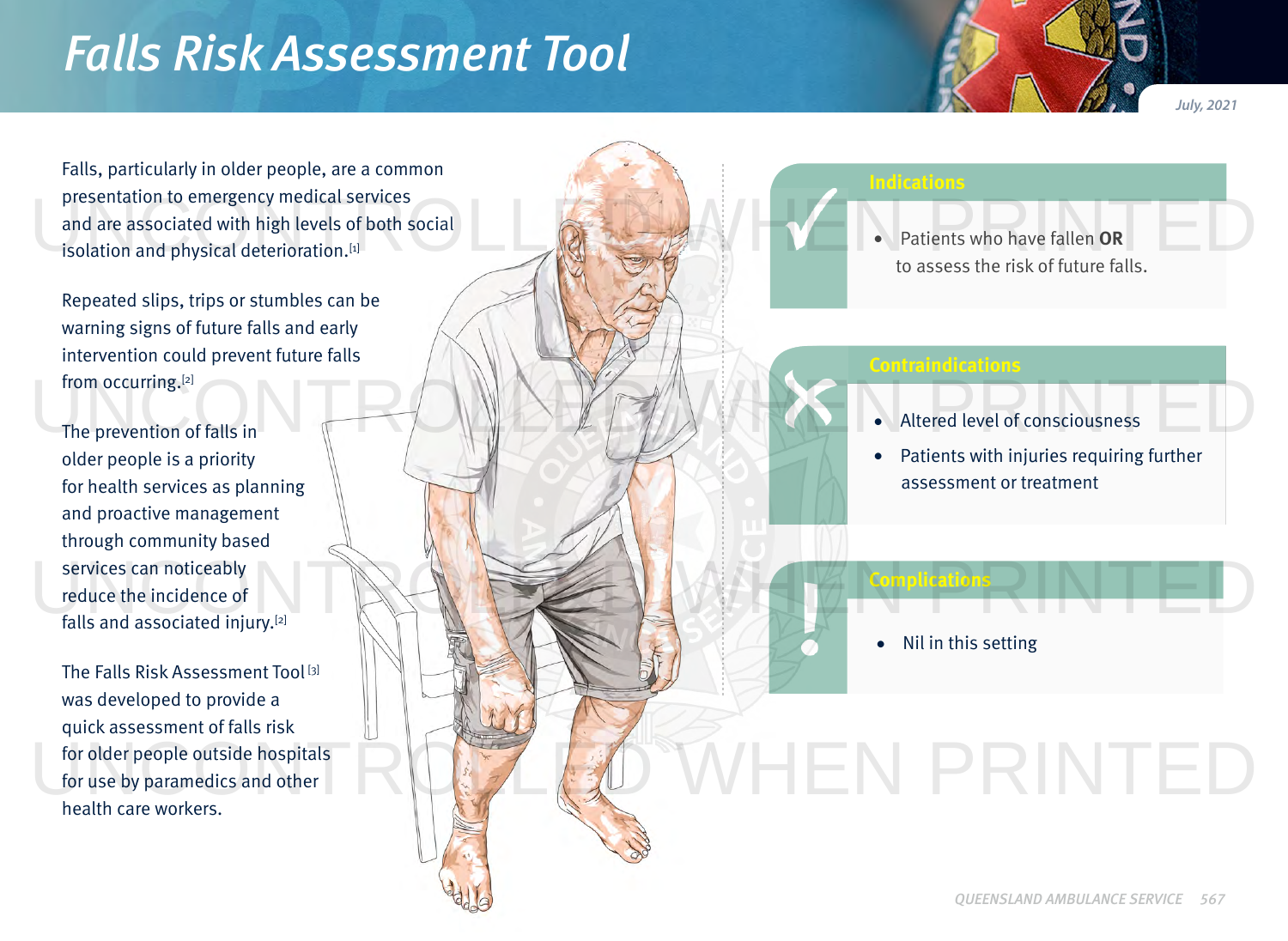## *Falls Risk Assessment Tool*

Falls, particularly in older people, are a common presentation to emergency medical services and are associated with high levels of both social isolation and physical deterioration.[1]

Repeated slips, trips or stumbles can be warning signs of future falls and early intervention could prevent future falls from occurring.[2]

The prevention of falls in older people is a priority for health services as planning and proactive management through community based services can noticeably reduce the incidence of falls and associated injury.[2]

The Falls Risk Assessment Tool [3] was developed to provide a quick assessment of falls risk for older people outside hospitals for use by paramedics and other health care workers.

## **Contraindications** • Altered level of consciousness • Patients with injuries requiring further assessment or treatment **Complications** • Patients who have fallen **OR** to assess the risk of future falls. • Nil in this setting presentation to emergency medical services<br>and are associated with high levels of both social<br>isolation and physical deterioration.<sup>[1]</sup> The prevention of falls in The prevention of falls in The prevention of falls in The prevention of falls in services can noticeably<br>reduce the incidence of<br>falls and associated injury.<sup>[2]</sup> VHEN PRINTED

**Indications**

*July, 2021*